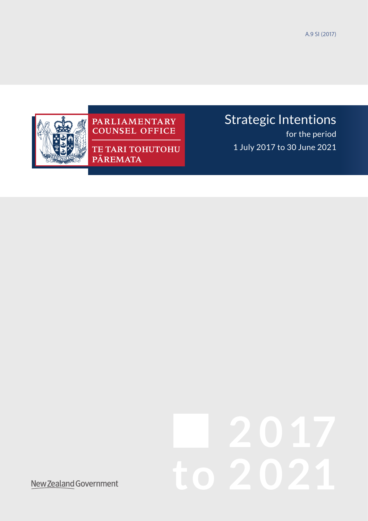A.9 SI (2017)



# PARLIAMENTARY<br>COUNSEL OFFICE

**TE TARI TOHUTOHU** PĀREMATA

## Strategic Intentions

for the period 1 July 2017 to 30 June 2021

# **2 0 17 to 2 021**

New Zealand Government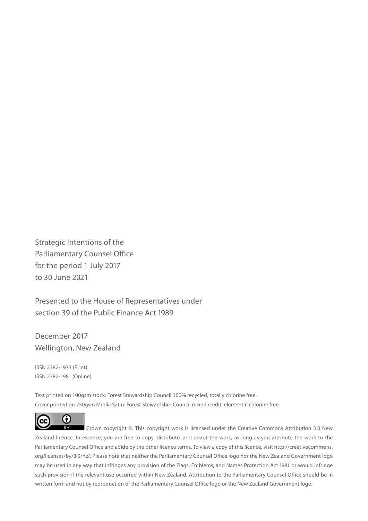Strategic Intentions of the Parliamentary Counsel Office for the period 1 July 2017 to 30 June 2021

Presented to the House of Representatives under section 39 of the Public Finance Act 1989

December 2017 Wellington, New Zealand

ISSN 2382-1973 (Print) ISSN 2382-1981 (Online)

Text printed on 100gsm stock: Forest Stewardship Council 100% recycled, totally chlorine free. Cover printed on 250gsm Media Satin: Forest Stewardship Council mixed credit, elemental chlorine free.



 Crown copyright ©. This copyright work is licensed under the Creative Commons Attribution 3.0 New Zealand licence. In essence, you are free to copy, distribute, and adapt the work, as long as you attribute the work to the Parliamentary Counsel Office and abide by the other licence terms. To view a copy of this licence, visit http://creativecommons. org/licenses/by/3.0/nz/. Please note that neither the Parliamentary Counsel Office logo nor the New Zealand Government logo may be used in any way that infringes any provision of the Flags, Emblems, and Names Protection Act 1981 or would infringe such provision if the relevant use occurred within New Zealand. Attribution to the Parliamentary Counsel Office should be in written form and not by reproduction of the Parliamentary Counsel Office logo or the New Zealand Government logo.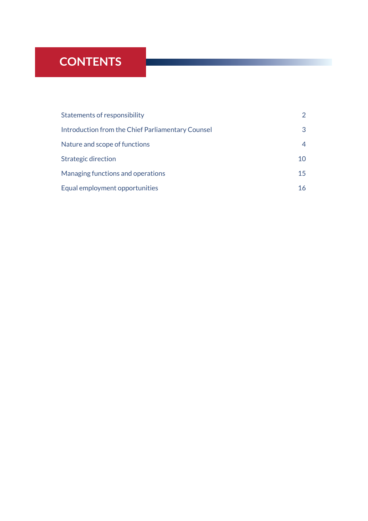### **CONTENTS**

| Statements of responsibility                      | $\mathcal{P}$ |
|---------------------------------------------------|---------------|
| Introduction from the Chief Parliamentary Counsel | 3             |
| Nature and scope of functions                     | 4             |
| <b>Strategic direction</b>                        | 10            |
| Managing functions and operations                 | 15            |
| Equal employment opportunities                    | 16            |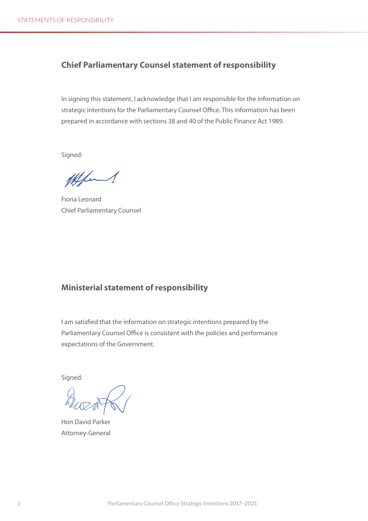#### <span id="page-3-0"></span>**Chief Parliamentary Counsel statement of responsibility**

In signing this statement, I acknowledge that I am responsible for the information on strategic intentions for the Parliamentary Counsel Office. This information has been prepared in accordance with sections 38 and 40 of the Public Finance Act 1989.

Signed:

11 fem

Fiona Leonard Chief Parliamentary Counsel

#### **Ministerial statement of responsibility**

I am satisfied that the information on strategic intentions prepared by the Parliamentary Counsel Office is consistent with the policies and performance expectations of the Government.

Signed:

Hon David Parker Attorney-General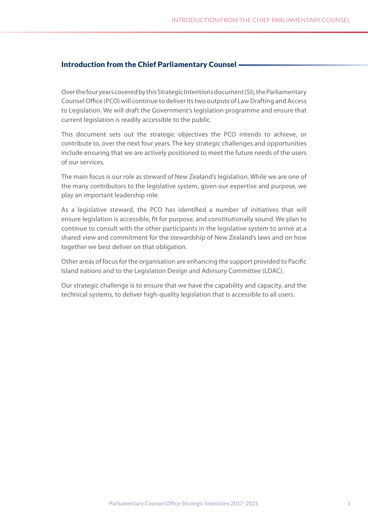#### <span id="page-4-0"></span>Introduction from the Chief Parliamentary Counsel

Over the four years covered by this Strategic Intentions document (SI), the Parliamentary Counsel Office (PCO) will continue to deliver its two outputs of Law Drafting and Access to Legislation. We will draft the Government's legislation programme and ensure that current legislation is readily accessible to the public.

This document sets out the strategic objectives the PCO intends to achieve, or contribute to, over the next four years. The key strategic challenges and opportunities include ensuring that we are actively positioned to meet the future needs of the users of our services.

The main focus is our role as steward of New Zealand's legislation. While we are one of the many contributors to the legislative system, given our expertise and purpose, we play an important leadership role.

As a legislative steward, the PCO has identified a number of initiatives that will ensure legislation is accessible, fit for purpose, and constitutionally sound. We plan to continue to consult with the other participants in the legislative system to arrive at a shared view and commitment for the stewardship of New Zealand's laws and on how together we best deliver on that obligation.

Other areas of focus for the organisation are enhancing the support provided to Pacific Island nations and to the Legislation Design and Advisory Committee (LDAC).

Our strategic challenge is to ensure that we have the capability and capacity, and the technical systems, to deliver high-quality legislation that is accessible to all users.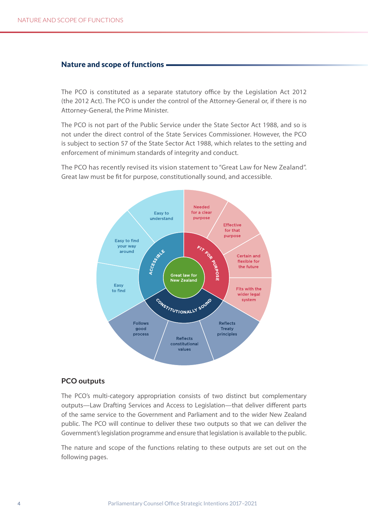#### <span id="page-5-0"></span>Nature and scope of functions

The PCO is constituted as a separate statutory office by the Legislation Act 2012 (the 2012 Act). The PCO is under the control of the Attorney-General or, if there is no Attorney-General, the Prime Minister.

The PCO is not part of the Public Service under the State Sector Act 1988, and so is not under the direct control of the State Services Commissioner. However, the PCO is subject to section 57 of the State Sector Act 1988, which relates to the setting and enforcement of minimum standards of integrity and conduct.

The PCO has recently revised its vision statement to "Great Law for New Zealand". Great law must be fit for purpose, constitutionally sound, and accessible.



#### **PCO outputs**

The PCO's multi-category appropriation consists of two distinct but complementary outputs—Law Drafting Services and Access to Legislation—that deliver different parts of the same service to the Government and Parliament and to the wider New Zealand public. The PCO will continue to deliver these two outputs so that we can deliver the Government's legislation programme and ensure that legislation is available to the public.

The nature and scope of the functions relating to these outputs are set out on the following pages.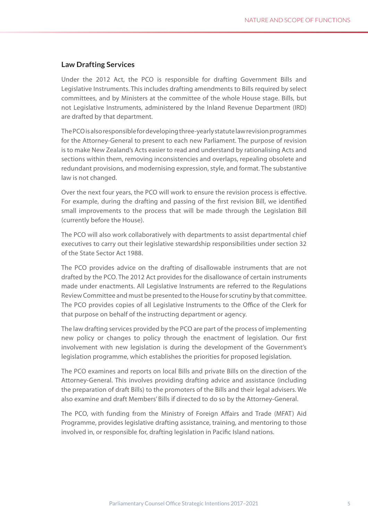#### **Law Drafting Services**

Under the 2012 Act, the PCO is responsible for drafting Government Bills and Legislative Instruments. This includes drafting amendments to Bills required by select committees, and by Ministers at the committee of the whole House stage. Bills, but not Legislative Instruments, administered by the Inland Revenue Department (IRD) are drafted by that department.

The PCO is also responsible for developing three-yearly statute law revision programmes for the Attorney-General to present to each new Parliament. The purpose of revision is to make New Zealand's Acts easier to read and understand by rationalising Acts and sections within them, removing inconsistencies and overlaps, repealing obsolete and redundant provisions, and modernising expression, style, and format. The substantive law is not changed.

Over the next four years, the PCO will work to ensure the revision process is effective. For example, during the drafting and passing of the first revision Bill, we identified small improvements to the process that will be made through the Legislation Bill (currently before the House).

The PCO will also work collaboratively with departments to assist departmental chief executives to carry out their legislative stewardship responsibilities under section 32 of the State Sector Act 1988.

The PCO provides advice on the drafting of disallowable instruments that are not drafted by the PCO. The 2012 Act provides for the disallowance of certain instruments made under enactments. All Legislative Instruments are referred to the Regulations Review Committee and must be presented to the House for scrutiny by that committee. The PCO provides copies of all Legislative Instruments to the Office of the Clerk for that purpose on behalf of the instructing department or agency.

The law drafting services provided by the PCO are part of the process of implementing new policy or changes to policy through the enactment of legislation. Our first involvement with new legislation is during the development of the Government's legislation programme, which establishes the priorities for proposed legislation.

The PCO examines and reports on local Bills and private Bills on the direction of the Attorney-General. This involves providing drafting advice and assistance (including the preparation of draft Bills) to the promoters of the Bills and their legal advisers. We also examine and draft Members' Bills if directed to do so by the Attorney-General.

The PCO, with funding from the Ministry of Foreign Affairs and Trade (MFAT) Aid Programme, provides legislative drafting assistance, training, and mentoring to those involved in, or responsible for, drafting legislation in Pacific Island nations.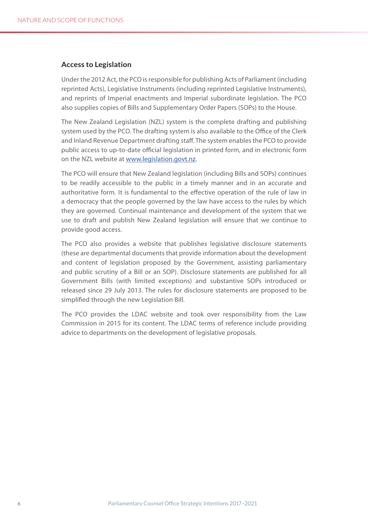#### **Access to Legislation**

Under the 2012 Act, the PCO is responsible for publishing Acts of Parliament (including reprinted Acts), Legislative Instruments (including reprinted Legislative Instruments), and reprints of Imperial enactments and Imperial subordinate legislation. The PCO also supplies copies of Bills and Supplementary Order Papers (SOPs) to the House.

The New Zealand Legislation (NZL) system is the complete drafting and publishing system used by the PCO. The drafting system is also available to the Office of the Clerk and Inland Revenue Department drafting staff. The system enables the PCO to provide public access to up-to-date official legislation in printed form, and in electronic form on the NZL website at [www.legislation.govt.nz.](http://www.legislation.govt.nz)

The PCO will ensure that New Zealand legislation (including Bills and SOPs) continues to be readily accessible to the public in a timely manner and in an accurate and authoritative form. It is fundamental to the effective operation of the rule of law in a democracy that the people governed by the law have access to the rules by which they are governed. Continual maintenance and development of the system that we use to draft and publish New Zealand legislation will ensure that we continue to provide good access.

The PCO also provides a website that publishes legislative disclosure statements (these are departmental documents that provide information about the development and content of legislation proposed by the Government, assisting parliamentary and public scrutiny of a Bill or an SOP). Disclosure statements are published for all Government Bills (with limited exceptions) and substantive SOPs introduced or released since 29 July 2013. The rules for disclosure statements are proposed to be simplified through the new Legislation Bill.

The PCO provides the LDAC website and took over responsibility from the Law Commission in 2015 for its content. The LDAC terms of reference include providing advice to departments on the development of legislative proposals.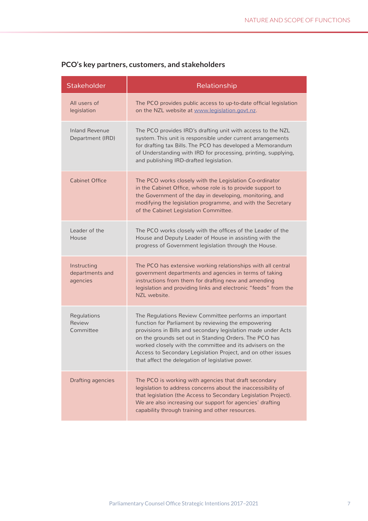| Stakeholder                                | Relationship                                                                                                                                                                                                                                                                                                                                                                                                              |
|--------------------------------------------|---------------------------------------------------------------------------------------------------------------------------------------------------------------------------------------------------------------------------------------------------------------------------------------------------------------------------------------------------------------------------------------------------------------------------|
| All users of<br>legislation                | The PCO provides public access to up-to-date official legislation<br>on the NZL website at www.legislation.govt.nz.                                                                                                                                                                                                                                                                                                       |
| <b>Inland Revenue</b><br>Department (IRD)  | The PCO provides IRD's drafting unit with access to the NZL<br>system. This unit is responsible under current arrangements<br>for drafting tax Bills. The PCO has developed a Memorandum<br>of Understanding with IRD for processing, printing, supplying,<br>and publishing IRD-drafted legislation.                                                                                                                     |
| <b>Cabinet Office</b>                      | The PCO works closely with the Legislation Co-ordinator<br>in the Cabinet Office, whose role is to provide support to<br>the Government of the day in developing, monitoring, and<br>modifying the legislation programme, and with the Secretary<br>of the Cabinet Legislation Committee.                                                                                                                                 |
| Leader of the<br>House                     | The PCO works closely with the offices of the Leader of the<br>House and Deputy Leader of House in assisting with the<br>progress of Government legislation through the House.                                                                                                                                                                                                                                            |
| Instructing<br>departments and<br>agencies | The PCO has extensive working relationships with all central<br>government departments and agencies in terms of taking<br>instructions from them for drafting new and amending<br>legislation and providing links and electronic "feeds" from the<br>NZL website.                                                                                                                                                         |
| Regulations<br>Review<br>Committee         | The Regulations Review Committee performs an important<br>function for Parliament by reviewing the empowering<br>provisions in Bills and secondary legislation made under Acts<br>on the grounds set out in Standing Orders. The PCO has<br>worked closely with the committee and its advisers on the<br>Access to Secondary Legislation Project, and on other issues<br>that affect the delegation of legislative power. |
| <b>Drafting agencies</b>                   | The PCO is working with agencies that draft secondary<br>legislation to address concerns about the inaccessibility of<br>that legislation (the Access to Secondary Legislation Project).<br>We are also increasing our support for agencies' drafting<br>capability through training and other resources.                                                                                                                 |

#### **PCO's key partners, customers, and stakeholders**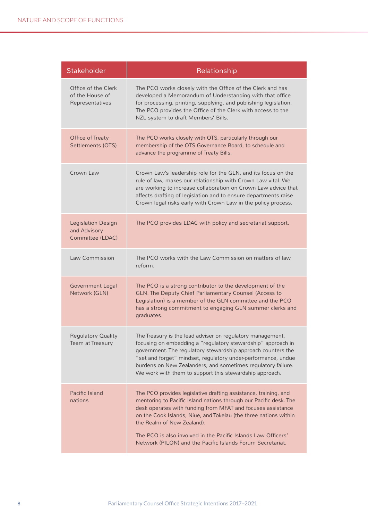| Stakeholder                                                   | Relationship                                                                                                                                                                                                                                                                                                                                                                                                                         |
|---------------------------------------------------------------|--------------------------------------------------------------------------------------------------------------------------------------------------------------------------------------------------------------------------------------------------------------------------------------------------------------------------------------------------------------------------------------------------------------------------------------|
| Office of the Clerk<br>of the House of<br>Representatives     | The PCO works closely with the Office of the Clerk and has<br>developed a Memorandum of Understanding with that office<br>for processing, printing, supplying, and publishing legislation.<br>The PCO provides the Office of the Clerk with access to the<br>NZL system to draft Members' Bills.                                                                                                                                     |
| Office of Treaty<br>Settlements (OTS)                         | The PCO works closely with OTS, particularly through our<br>membership of the OTS Governance Board, to schedule and<br>advance the programme of Treaty Bills.                                                                                                                                                                                                                                                                        |
| Crown Law                                                     | Crown Law's leadership role for the GLN, and its focus on the<br>rule of law, makes our relationship with Crown Law vital. We<br>are working to increase collaboration on Crown Law advice that<br>affects drafting of legislation and to ensure departments raise<br>Crown legal risks early with Crown Law in the policy process.                                                                                                  |
| <b>Legislation Design</b><br>and Advisory<br>Committee (LDAC) | The PCO provides LDAC with policy and secretariat support.                                                                                                                                                                                                                                                                                                                                                                           |
| Law Commission                                                | The PCO works with the Law Commission on matters of law<br>reform.                                                                                                                                                                                                                                                                                                                                                                   |
| <b>Government Legal</b><br>Network (GLN)                      | The PCO is a strong contributor to the development of the<br>GLN. The Deputy Chief Parliamentary Counsel (Access to<br>Legislation) is a member of the GLN committee and the PCO<br>has a strong commitment to engaging GLN summer clerks and<br>graduates.                                                                                                                                                                          |
| <b>Regulatory Quality</b><br>Team at Treasury                 | The Treasury is the lead adviser on regulatory management,<br>focusing on embedding a "regulatory stewardship" approach in<br>government. The regulatory stewardship approach counters the<br>"set and forget" mindset, regulatory under-performance, undue<br>burdens on New Zealanders, and sometimes regulatory failure.<br>We work with them to support this stewardship approach.                                               |
| Pacific Island<br>nations                                     | The PCO provides legislative drafting assistance, training, and<br>mentoring to Pacific Island nations through our Pacific desk. The<br>desk operates with funding from MFAT and focuses assistance<br>on the Cook Islands, Niue, and Tokelau (the three nations within<br>the Realm of New Zealand).<br>The PCO is also involved in the Pacific Islands Law Officers'<br>Network (PILON) and the Pacific Islands Forum Secretariat. |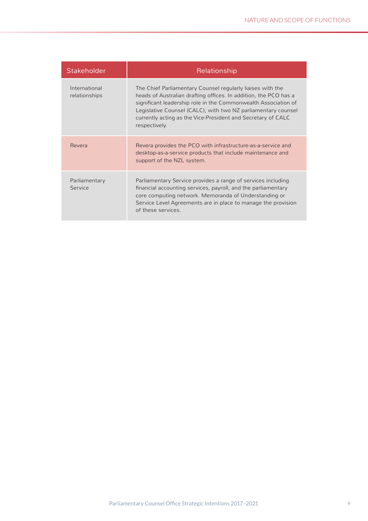| <b>Stakeholder</b>             | Relationship                                                                                                                                                                                                                                                                                                                                       |
|--------------------------------|----------------------------------------------------------------------------------------------------------------------------------------------------------------------------------------------------------------------------------------------------------------------------------------------------------------------------------------------------|
| International<br>relationships | The Chief Parliamentary Counsel regularly liaises with the<br>heads of Australian drafting offices. In addition, the PCO has a<br>significant leadership role in the Commonwealth Association of<br>Legislative Counsel (CALC), with two NZ parliamentary counsel<br>currently acting as the Vice-President and Secretary of CALC<br>respectively. |
| Revera                         | Revera provides the PCO with infrastructure-as-a-service and<br>desktop-as-a-service products that include maintenance and<br>support of the NZL system.                                                                                                                                                                                           |
| Parliamentary<br>Service       | Parliamentary Service provides a range of services including<br>financial accounting services, payroll, and the parliamentary<br>core computing network. Memoranda of Understanding or<br>Service Level Agreements are in place to manage the provision<br>of these services.                                                                      |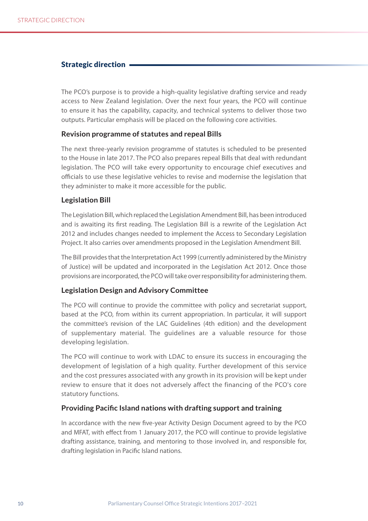#### <span id="page-11-0"></span>Strategic direction

The PCO's purpose is to provide a high-quality legislative drafting service and ready access to New Zealand legislation. Over the next four years, the PCO will continue to ensure it has the capability, capacity, and technical systems to deliver those two outputs. Particular emphasis will be placed on the following core activities.

#### **Revision programme of statutes and repeal Bills**

The next three-yearly revision programme of statutes is scheduled to be presented to the House in late 2017. The PCO also prepares repeal Bills that deal with redundant legislation. The PCO will take every opportunity to encourage chief executives and officials to use these legislative vehicles to revise and modernise the legislation that they administer to make it more accessible for the public.

#### **Legislation Bill**

The Legislation Bill, which replaced the Legislation Amendment Bill, has been introduced and is awaiting its first reading. The Legislation Bill is a rewrite of the Legislation Act 2012 and includes changes needed to implement the Access to Secondary Legislation Project. It also carries over amendments proposed in the Legislation Amendment Bill.

The Bill provides that the Interpretation Act 1999 (currently administered by the Ministry of Justice) will be updated and incorporated in the Legislation Act 2012. Once those provisions are incorporated, the PCO will take over responsibility for administering them.

#### **Legislation Design and Advisory Committee**

The PCO will continue to provide the committee with policy and secretariat support, based at the PCO, from within its current appropriation. In particular, it will support the committee's revision of the LAC Guidelines (4th edition) and the development of supplementary material. The guidelines are a valuable resource for those developing legislation.

The PCO will continue to work with LDAC to ensure its success in encouraging the development of legislation of a high quality. Further development of this service and the cost pressures associated with any growth in its provision will be kept under review to ensure that it does not adversely affect the financing of the PCO's core statutory functions.

#### **Providing Pacific Island nations with drafting support and training**

In accordance with the new five-year Activity Design Document agreed to by the PCO and MFAT, with effect from 1 January 2017, the PCO will continue to provide legislative drafting assistance, training, and mentoring to those involved in, and responsible for, drafting legislation in Pacific Island nations.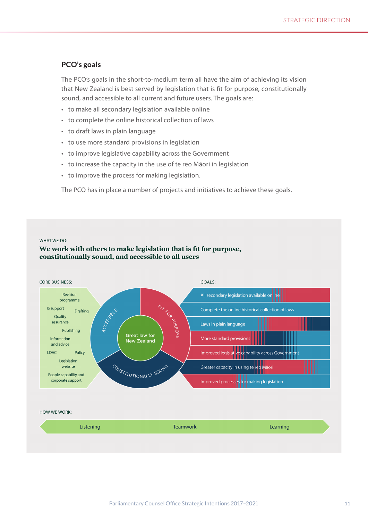#### **PCO's goals**

The PCO's goals in the short-to-medium term all have the aim of achieving its vision that New Zealand is best served by legislation that is fit for purpose, constitutionally sound, and accessible to all current and future users. The goals are:

- to make all secondary legislation available online
- to complete the online historical collection of laws
- to draft laws in plain language
- to use more standard provisions in legislation
- to improve legislative capability across the Government
- to increase the capacity in the use of te reo Māori in legislation
- to improve the process for making legislation.

The PCO has in place a number of projects and initiatives to achieve these goals.

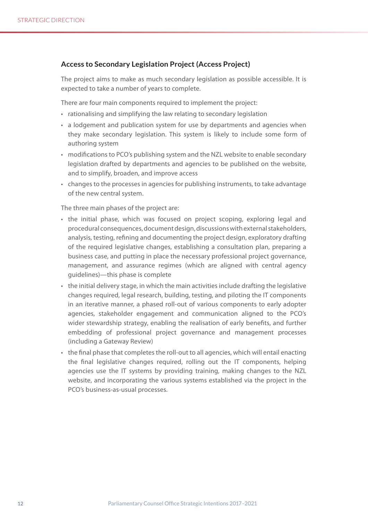#### **Access to Secondary Legislation Project (Access Project)**

The project aims to make as much secondary legislation as possible accessible. It is expected to take a number of years to complete.

There are four main components required to implement the project:

- rationalising and simplifying the law relating to secondary legislation
- a lodgement and publication system for use by departments and agencies when they make secondary legislation. This system is likely to include some form of authoring system
- modifications to PCO's publishing system and the NZL website to enable secondary legislation drafted by departments and agencies to be published on the website, and to simplify, broaden, and improve access
- changes to the processes in agencies for publishing instruments, to take advantage of the new central system.

The three main phases of the project are:

- the initial phase, which was focused on project scoping, exploring legal and procedural consequences, document design, discussions with external stakeholders, analysis, testing, refining and documenting the project design, exploratory drafting of the required legislative changes, establishing a consultation plan, preparing a business case, and putting in place the necessary professional project governance, management, and assurance regimes (which are aligned with central agency guidelines)—this phase is complete
- the initial delivery stage, in which the main activities include drafting the legislative changes required, legal research, building, testing, and piloting the IT components in an iterative manner, a phased roll-out of various components to early adopter agencies, stakeholder engagement and communication aligned to the PCO's wider stewardship strategy, enabling the realisation of early benefits, and further embedding of professional project governance and management processes (including a Gateway Review)
- the final phase that completes the roll-out to all agencies, which will entail enacting the final legislative changes required, rolling out the IT components, helping agencies use the IT systems by providing training, making changes to the NZL website, and incorporating the various systems established via the project in the PCO's business-as-usual processes.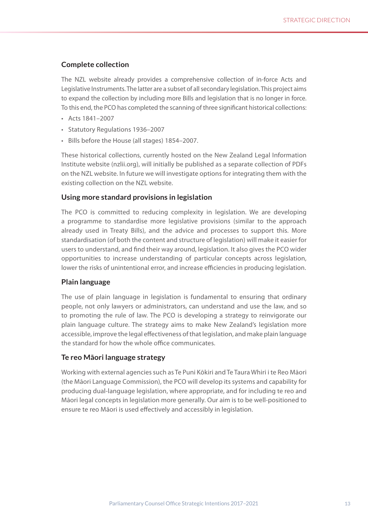#### **Complete collection**

The NZL website already provides a comprehensive collection of in-force Acts and Legislative Instruments. The latter are a subset of all secondary legislation. This project aims to expand the collection by including more Bills and legislation that is no longer in force. To this end, the PCO has completed the scanning of three significant historical collections:

- Acts 1841–2007
- Statutory Regulations 1936–2007
- Bills before the House (all stages) 1854–2007.

These historical collections, currently hosted on the New Zealand Legal Information Institute website (nzlii.org), will initially be published as a separate collection of PDFs on the NZL website. In future we will investigate options for integrating them with the existing collection on the NZL website.

#### **Using more standard provisions in legislation**

The PCO is committed to reducing complexity in legislation. We are developing a programme to standardise more legislative provisions (similar to the approach already used in Treaty Bills), and the advice and processes to support this. More standardisation (of both the content and structure of legislation) will make it easier for users to understand, and find their way around, legislation. It also gives the PCO wider opportunities to increase understanding of particular concepts across legislation, lower the risks of unintentional error, and increase efficiencies in producing legislation.

#### **Plain language**

The use of plain language in legislation is fundamental to ensuring that ordinary people, not only lawyers or administrators, can understand and use the law, and so to promoting the rule of law. The PCO is developing a strategy to reinvigorate our plain language culture. The strategy aims to make New Zealand's legislation more accessible, improve the legal effectiveness of that legislation, and make plain language the standard for how the whole office communicates.

#### **Te reo Māori language strategy**

Working with external agencies such as Te Puni Kōkiri and Te Taura Whiri i te Reo Māori (the Māori Language Commission), the PCO will develop its systems and capability for producing dual-language legislation, where appropriate, and for including te reo and Māori legal concepts in legislation more generally. Our aim is to be well-positioned to ensure te reo Māori is used effectively and accessibly in legislation.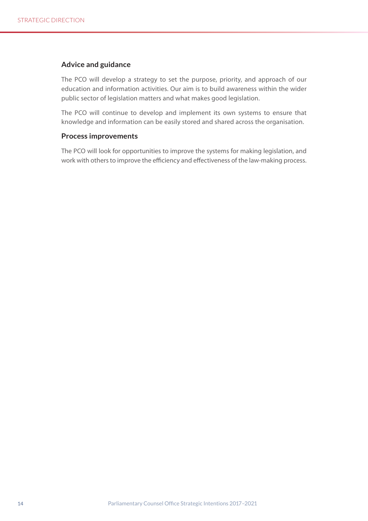#### **Advice and guidance**

The PCO will develop a strategy to set the purpose, priority, and approach of our education and information activities. Our aim is to build awareness within the wider public sector of legislation matters and what makes good legislation.

The PCO will continue to develop and implement its own systems to ensure that knowledge and information can be easily stored and shared across the organisation.

#### **Process improvements**

The PCO will look for opportunities to improve the systems for making legislation, and work with others to improve the efficiency and effectiveness of the law-making process.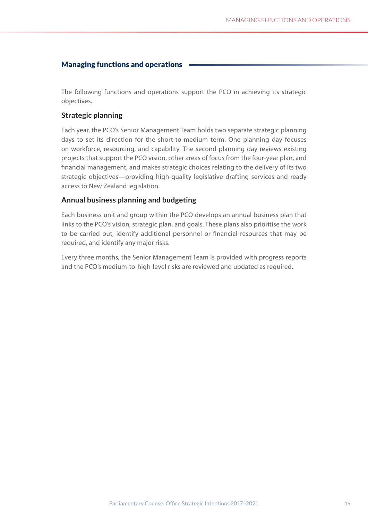#### <span id="page-16-0"></span>Managing functions and operations

The following functions and operations support the PCO in achieving its strategic objectives.

#### **Strategic planning**

Each year, the PCO's Senior Management Team holds two separate strategic planning days to set its direction for the short-to-medium term. One planning day focuses on workforce, resourcing, and capability. The second planning day reviews existing projects that support the PCO vision, other areas of focus from the four-year plan, and financial management, and makes strategic choices relating to the delivery of its two strategic objectives—providing high-quality legislative drafting services and ready access to New Zealand legislation.

#### **Annual business planning and budgeting**

Each business unit and group within the PCO develops an annual business plan that links to the PCO's vision, strategic plan, and goals. These plans also prioritise the work to be carried out, identify additional personnel or financial resources that may be required, and identify any major risks.

Every three months, the Senior Management Team is provided with progress reports and the PCO's medium-to-high-level risks are reviewed and updated as required.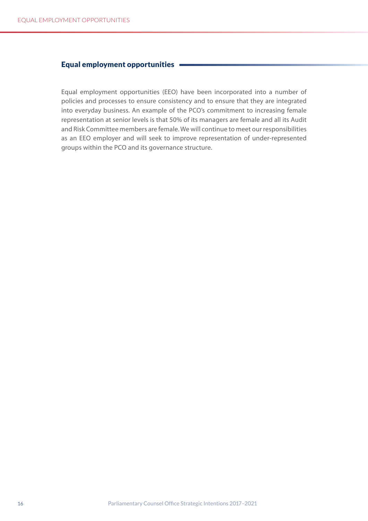#### <span id="page-17-0"></span>Equal employment opportunities

Equal employment opportunities (EEO) have been incorporated into a number of policies and processes to ensure consistency and to ensure that they are integrated into everyday business. An example of the PCO's commitment to increasing female representation at senior levels is that 50% of its managers are female and all its Audit and Risk Committee members are female. We will continue to meet our responsibilities as an EEO employer and will seek to improve representation of under-represented groups within the PCO and its governance structure.